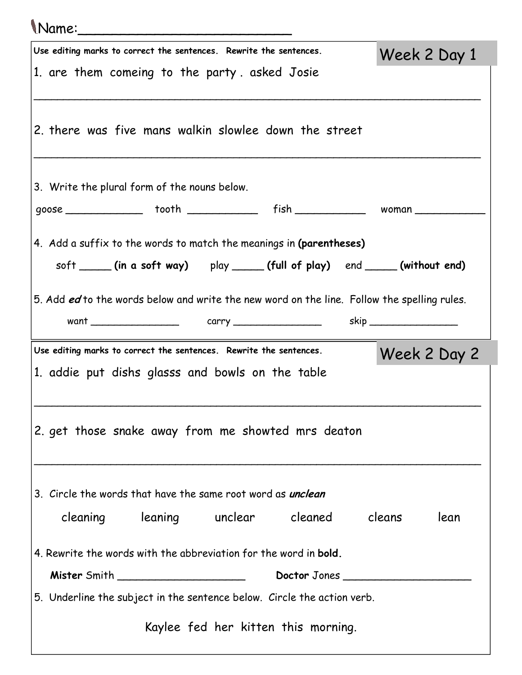| \Name:_____                                                                                                            |              |
|------------------------------------------------------------------------------------------------------------------------|--------------|
| Use editing marks to correct the sentences. Rewrite the sentences.                                                     | Week 2 Day 1 |
| 1. are them comeing to the party asked Josie                                                                           |              |
| 2. there was five mans walkin slowlee down the street                                                                  |              |
| 3. Write the plural form of the nouns below.                                                                           |              |
| goose ________________ tooth _______________ fish ________________ woman ____________                                  |              |
| 4. Add a suffix to the words to match the meanings in (parentheses)                                                    |              |
| soft _____(in a soft way) play _____(full of play) end ____(without end)                                               |              |
| 5. Add ed to the words below and write the new word on the line. Follow the spelling rules.                            |              |
|                                                                                                                        |              |
|                                                                                                                        |              |
| Use editing marks to correct the sentences. Rewrite the sentences.<br>1. addie put dishs glasss and bowls on the table | Week 2 Day 2 |
| 2. get those snake away from me showted mrs deaton                                                                     |              |
| 3. Circle the words that have the same root word as <i>unclean</i>                                                     |              |
| cleaning leaning unclear cleaned cleans                                                                                | lean         |
| 4. Rewrite the words with the abbreviation for the word in <b>bold</b> .                                               |              |
| Doctor Jones                                                                                                           |              |
| 5. Underline the subject in the sentence below. Circle the action verb.                                                |              |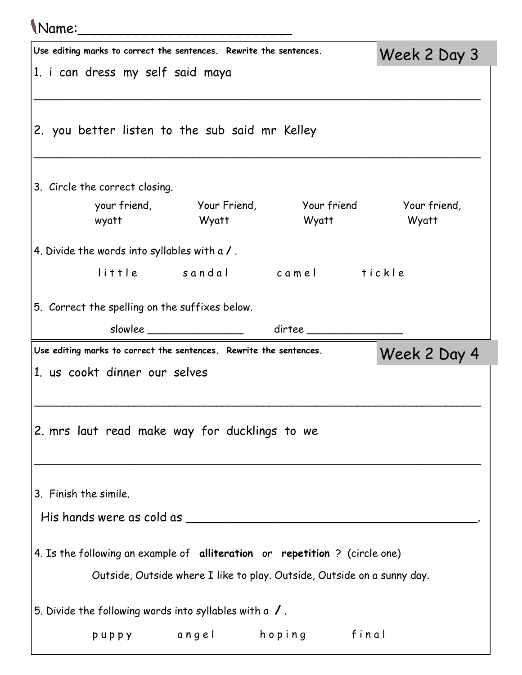## Name:\_\_\_\_\_\_\_\_\_\_\_\_\_\_\_\_\_\_\_\_\_\_\_\_\_ Use editing marks to correct the sentences. Rewrite the sentences. 1. i can dress my self said maya \_\_\_\_\_\_\_\_\_\_\_\_\_\_\_\_\_\_\_\_\_\_\_\_\_\_\_\_\_\_\_\_\_\_\_\_\_\_\_\_\_\_\_\_\_\_\_\_\_\_\_\_\_\_\_\_\_\_\_\_\_\_\_\_\_\_\_\_\_\_\_\_\_\_\_\_ 2. you better listen to the sub said mr Kelley \_\_\_\_\_\_\_\_\_\_\_\_\_\_\_\_\_\_\_\_\_\_\_\_\_\_\_\_\_\_\_\_\_\_\_\_\_\_\_\_\_\_\_\_\_\_\_\_\_\_\_\_\_\_\_\_\_\_\_\_\_\_\_\_\_\_\_\_\_\_\_\_\_\_\_\_ 3. Circle the correct closing. your friend, Your Friend, Your friend Your friend, wyatt Wyatt Wyatt Wyatt 4. Divide the words into syllables with a / . little sandal camel tickle 5. Correct the spelling on the suffixes below. slowlee \_\_\_\_\_\_\_\_\_\_\_\_\_\_\_ dirtee \_\_\_\_\_\_\_\_\_\_\_\_\_\_\_ Week 2 Day 3 Use editing marks to correct the sentences. Rewrite the sentences. 1. us cookt dinner our selves \_\_\_\_\_\_\_\_\_\_\_\_\_\_\_\_\_\_\_\_\_\_\_\_\_\_\_\_\_\_\_\_\_\_\_\_\_\_\_\_\_\_\_\_\_\_\_\_\_\_\_\_\_\_\_\_\_\_\_\_\_\_\_\_\_\_\_\_\_\_\_\_\_\_\_\_ 2. mrs laut read make way for ducklings to we \_\_\_\_\_\_\_\_\_\_\_\_\_\_\_\_\_\_\_\_\_\_\_\_\_\_\_\_\_\_\_\_\_\_\_\_\_\_\_\_\_\_\_\_\_\_\_\_\_\_\_\_\_\_\_\_\_\_\_\_\_\_\_\_\_\_\_\_\_\_\_\_\_\_\_\_ 3. Finish the simile. His hands were as cold as \_\_\_\_\_\_\_\_\_\_\_\_\_\_\_\_\_\_\_\_\_\_\_\_\_\_\_\_\_\_\_\_\_\_\_\_\_\_\_. 4. Is the following an example of alliteration or repetition ? (circle one) Outside, Outside where I like to play. Outside, Outside on a sunny day. 5. Divide the following words into syllables with a  $\sqrt{ }$  . puppy angel hoping final Week 2 Day 4